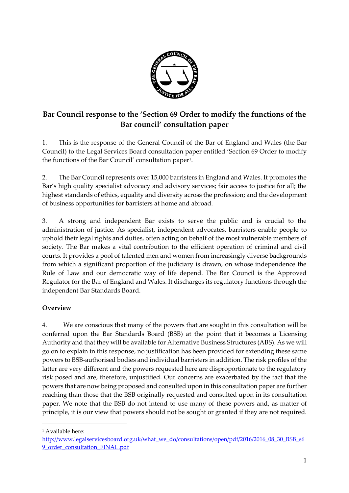

# **Bar Council response to the 'Section 69 Order to modify the functions of the Bar council' consultation paper**

1. This is the response of the General Council of the Bar of England and Wales (the Bar Council) to the Legal Services Board consultation paper entitled 'Section 69 Order to modify the functions of the Bar Council' consultation paper<sup>1</sup> .

2. The Bar Council represents over 15,000 barristers in England and Wales. It promotes the Bar's high quality specialist advocacy and advisory services; fair access to justice for all; the highest standards of ethics, equality and diversity across the profession; and the development of business opportunities for barristers at home and abroad.

3. A strong and independent Bar exists to serve the public and is crucial to the administration of justice. As specialist, independent advocates, barristers enable people to uphold their legal rights and duties, often acting on behalf of the most vulnerable members of society. The Bar makes a vital contribution to the efficient operation of criminal and civil courts. It provides a pool of talented men and women from increasingly diverse backgrounds from which a significant proportion of the judiciary is drawn, on whose independence the Rule of Law and our democratic way of life depend. The Bar Council is the Approved Regulator for the Bar of England and Wales. It discharges its regulatory functions through the independent Bar Standards Board.

## **Overview**

4. We are conscious that many of the powers that are sought in this consultation will be conferred upon the Bar Standards Board (BSB) at the point that it becomes a Licensing Authority and that they will be available for Alternative Business Structures (ABS). As we will go on to explain in this response, no justification has been provided for extending these same powers to BSB-authorised bodies and individual barristers in addition. The risk profiles of the latter are very different and the powers requested here are disproportionate to the regulatory risk posed and are, therefore, unjustified. Our concerns are exacerbated by the fact that the powers that are now being proposed and consulted upon in this consultation paper are further reaching than those that the BSB originally requested and consulted upon in its consultation paper. We note that the BSB do not intend to use many of these powers and, as matter of principle, it is our view that powers should not be sought or granted if they are not required.

<sup>1</sup> Available here:

 $\overline{a}$ 

[http://www.legalservicesboard.org.uk/what\\_we\\_do/consultations/open/pdf/2016/2016\\_08\\_30\\_BSB\\_s6](http://www.legalservicesboard.org.uk/what_we_do/consultations/open/pdf/2016/2016_08_30_BSB_s69_order_consultation_FINAL.pdf) [9\\_order\\_consultation\\_FINAL.pdf](http://www.legalservicesboard.org.uk/what_we_do/consultations/open/pdf/2016/2016_08_30_BSB_s69_order_consultation_FINAL.pdf)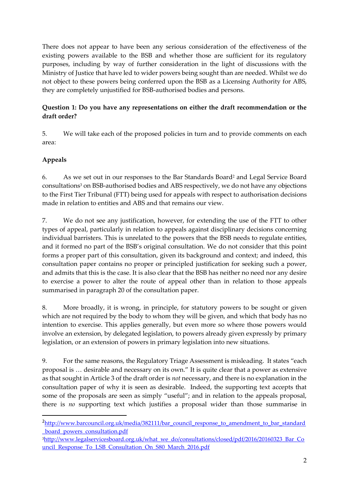There does not appear to have been any serious consideration of the effectiveness of the existing powers available to the BSB and whether those are sufficient for its regulatory purposes, including by way of further consideration in the light of discussions with the Ministry of Justice that have led to wider powers being sought than are needed. Whilst we do not object to these powers being conferred upon the BSB as a Licensing Authority for ABS, they are completely unjustified for BSB-authorised bodies and persons.

# **Question 1: Do you have any representations on either the draft recommendation or the draft order?**

5. We will take each of the proposed policies in turn and to provide comments on each area:

## **Appeals**

 $\overline{a}$ 

6. As we set out in our responses to the Bar Standards Board<sup>2</sup> and Legal Service Board consultations<sup>3</sup> on BSB-authorised bodies and ABS respectively, we do not have any objections to the First Tier Tribunal (FTT) being used for appeals with respect to authorisation decisions made in relation to entities and ABS and that remains our view.

7. We do not see any justification, however, for extending the use of the FTT to other types of appeal, particularly in relation to appeals against disciplinary decisions concerning individual barristers. This is unrelated to the powers that the BSB needs to regulate entities, and it formed no part of the BSB's original consultation. We do not consider that this point forms a proper part of this consultation, given its background and context; and indeed, this consultation paper contains no proper or principled justification for seeking such a power, and admits that this is the case. It is also clear that the BSB has neither no need nor any desire to exercise a power to alter the route of appeal other than in relation to those appeals summarised in paragraph 20 of the consultation paper.

8. More broadly, it is wrong, in principle, for statutory powers to be sought or given which are not required by the body to whom they will be given, and which that body has no intention to exercise. This applies generally, but even more so where those powers would involve an extension, by delegated legislation, to powers already given expressly by primary legislation, or an extension of powers in primary legislation into new situations.

9. For the same reasons, the Regulatory Triage Assessment is misleading. It states "each proposal is … desirable and necessary on its own." It is quite clear that a power as extensive as that sought in Article 3 of the draft order is *not* necessary, and there is no explanation in the consultation paper of why it is seen as desirable. Indeed, the supporting text accepts that some of the proposals are seen as simply "useful"; and in relation to the appeals proposal, there is *no* supporting text which justifies a proposal wider than those summarise in

<sup>&</sup>lt;sup>2</sup>[http://www.barcouncil.org.uk/media/382111/bar\\_council\\_response\\_to\\_amendment\\_to\\_bar\\_standard](http://www.barcouncil.org.uk/media/382111/bar_council_response_to_amendment_to_bar_standard_board_powers_consultation.pdf) [\\_board\\_powers\\_consultation.pdf](http://www.barcouncil.org.uk/media/382111/bar_council_response_to_amendment_to_bar_standard_board_powers_consultation.pdf)

<sup>&</sup>lt;sup>3</sup>[http://www.legalservicesboard.org.uk/what\\_we\\_do/consultations/closed/pdf/2016/20160323\\_Bar\\_Co](http://www.legalservicesboard.org.uk/what_we_do/consultations/closed/pdf/2016/20160323_Bar_Council_Response_To_LSB_Consultation_On_S80_March_2016.pdf) uncil Response To LSB Consultation On S80 March 2016.pdf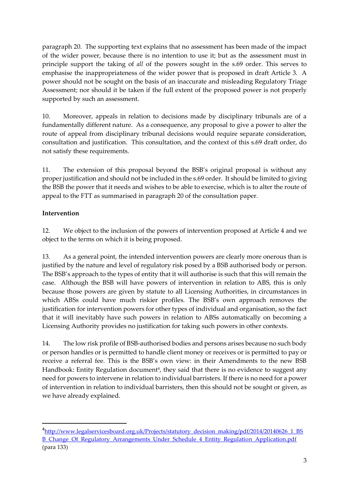paragraph 20. The supporting text explains that no assessment has been made of the impact of the wider power, because there is no intention to use it; but as the assessment must in principle support the taking of *all* of the powers sought in the s.69 order. This serves to emphasise the inappropriateness of the wider power that is proposed in draft Article 3. A power should not be sought on the basis of an inaccurate and misleading Regulatory Triage Assessment; nor should it be taken if the full extent of the proposed power is not properly supported by such an assessment.

10. Moreover, appeals in relation to decisions made by disciplinary tribunals are of a fundamentally different nature. As a consequence, any proposal to give a power to alter the route of appeal from disciplinary tribunal decisions would require separate consideration, consultation and justification. This consultation, and the context of this s.69 draft order, do not satisfy these requirements.

11. The extension of this proposal beyond the BSB's original proposal is without any proper justification and should not be included in the s.69 order. It should be limited to giving the BSB the power that it needs and wishes to be able to exercise, which is to alter the route of appeal to the FTT as summarised in paragraph 20 of the consultation paper.

## **Intervention**

1

12. We object to the inclusion of the powers of intervention proposed at Article 4 and we object to the terms on which it is being proposed.

13. As a general point, the intended intervention powers are clearly more onerous than is justified by the nature and level of regulatory risk posed by a BSB authorised body or person. The BSB's approach to the types of entity that it will authorise is such that this will remain the case. Although the BSB will have powers of intervention in relation to ABS, this is only because those powers are given by statute to all Licensing Authorities, in circumstances in which ABSs could have much riskier profiles. The BSB's own approach removes the justification for intervention powers for other types of individual and organisation, so the fact that it will inevitably have such powers in relation to ABSs automatically on becoming a Licensing Authority provides no justification for taking such powers in other contexts.

14. The low risk profile of BSB-authorised bodies and persons arises because no such body or person handles or is permitted to handle client money or receives or is permitted to pay or receive a referral fee. This is the BSB's own view: in their Amendments to the new BSB Handbook: Entity Regulation document<sup>4</sup>, they said that there is no evidence to suggest any need for powers to intervene in relation to individual barristers. If there is no need for a power of intervention in relation to individual barristers, then this should not be sought or given, as we have already explained.

<sup>&</sup>lt;sup>4</sup>[http://www.legalservicesboard.org.uk/Projects/statutory\\_decision\\_making/pdf/2014/20140626\\_1\\_BS](http://www.legalservicesboard.org.uk/Projects/statutory_decision_making/pdf/2014/20140626_1_BSB_Change_Of_Regulatory_Arrangements_Under_Schedule_4_Entity_Regulation_Application.pdf) [B\\_Change\\_Of\\_Regulatory\\_Arrangements\\_Under\\_Schedule\\_4\\_Entity\\_Regulation\\_Application.pdf](http://www.legalservicesboard.org.uk/Projects/statutory_decision_making/pdf/2014/20140626_1_BSB_Change_Of_Regulatory_Arrangements_Under_Schedule_4_Entity_Regulation_Application.pdf) (para 133)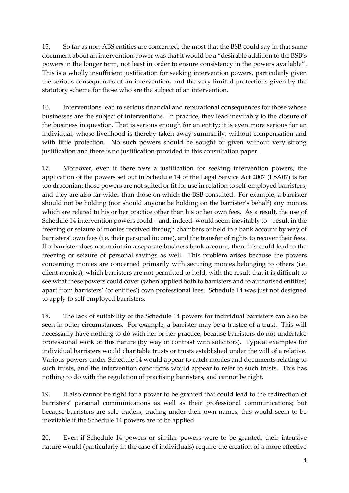15. So far as non-ABS entities are concerned, the most that the BSB could say in that same document about an intervention power was that it would be a "desirable addition to the BSB's powers in the longer term, not least in order to ensure consistency in the powers available". This is a wholly insufficient justification for seeking intervention powers, particularly given the serious consequences of an intervention, and the very limited protections given by the statutory scheme for those who are the subject of an intervention.

16. Interventions lead to serious financial and reputational consequences for those whose businesses are the subject of interventions. In practice, they lead inevitably to the closure of the business in question. That is serious enough for an entity; it is even more serious for an individual, whose livelihood is thereby taken away summarily, without compensation and with little protection. No such powers should be sought or given without very strong justification and there is no justification provided in this consultation paper.

17. Moreover, even if there *were* a justification for seeking intervention powers, the application of the powers set out in Schedule 14 of the Legal Service Act 2007 (LSA07) is far too draconian; those powers are not suited or fit for use in relation to self-employed barristers; and they are also far wider than those on which the BSB consulted. For example, a barrister should not be holding (nor should anyone be holding on the barrister's behalf) any monies which are related to his or her practice other than his or her own fees. As a result, the use of Schedule 14 intervention powers could – and, indeed, would seem inevitably to – result in the freezing or seizure of monies received through chambers or held in a bank account by way of barristers' own fees (i.e. their personal income), and the transfer of rights to recover their fees. If a barrister does not maintain a separate business bank account, then this could lead to the freezing or seizure of personal savings as well. This problem arises because the powers concerning monies are concerned primarily with securing monies belonging to others (i.e. client monies), which barristers are not permitted to hold, with the result that it is difficult to see what these powers could cover (when applied both to barristers and to authorised entities) apart from barristers' (or entities') own professional fees. Schedule 14 was just not designed to apply to self-employed barristers.

18. The lack of suitability of the Schedule 14 powers for individual barristers can also be seen in other circumstances. For example, a barrister may be a trustee of a trust. This will necessarily have nothing to do with her or her practice, because barristers do not undertake professional work of this nature (by way of contrast with solicitors). Typical examples for individual barristers would charitable trusts or trusts established under the will of a relative. Various powers under Schedule 14 would appear to catch monies and documents relating to such trusts, and the intervention conditions would appear to refer to such trusts. This has nothing to do with the regulation of practising barristers, and cannot be right.

19. It also cannot be right for a power to be granted that could lead to the redirection of barristers' personal communications as well as their professional communications; but because barristers are sole traders, trading under their own names, this would seem to be inevitable if the Schedule 14 powers are to be applied.

20. Even if Schedule 14 powers or similar powers were to be granted, their intrusive nature would (particularly in the case of individuals) require the creation of a more effective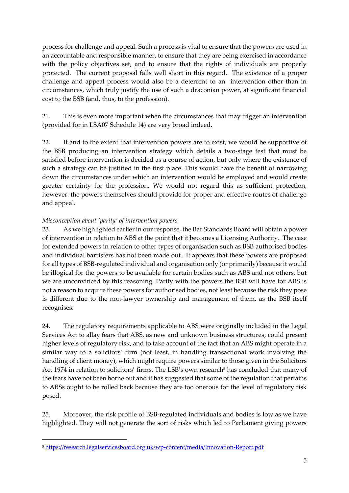process for challenge and appeal. Such a process is vital to ensure that the powers are used in an accountable and responsible manner, to ensure that they are being exercised in accordance with the policy objectives set, and to ensure that the rights of individuals are properly protected. The current proposal falls well short in this regard. The existence of a proper challenge and appeal process would also be a deterrent to an intervention other than in circumstances, which truly justify the use of such a draconian power, at significant financial cost to the BSB (and, thus, to the profession).

21. This is even more important when the circumstances that may trigger an intervention (provided for in LSA07 Schedule 14) are very broad indeed.

22. If and to the extent that intervention powers are to exist, we would be supportive of the BSB producing an intervention strategy which details a two-stage test that must be satisfied before intervention is decided as a course of action, but only where the existence of such a strategy can be justified in the first place. This would have the benefit of narrowing down the circumstances under which an intervention would be employed and would create greater certainty for the profession. We would not regard this as sufficient protection, however: the powers themselves should provide for proper and effective routes of challenge and appeal.

### *Misconception about 'parity' of intervention powers*

 $\overline{a}$ 

23. As we highlighted earlier in our response, the Bar Standards Board will obtain a power of intervention in relation to ABS at the point that it becomes a Licensing Authority. The case for extended powers in relation to other types of organisation such as BSB authorised bodies and individual barristers has not been made out. It appears that these powers are proposed for all types of BSB-regulated individual and organisation only (or primarily) because it would be illogical for the powers to be available for certain bodies such as ABS and not others, but we are unconvinced by this reasoning. Parity with the powers the BSB will have for ABS is not a reason to acquire these powers for authorised bodies, not least because the risk they pose is different due to the non-lawyer ownership and management of them, as the BSB itself recognises.

24. The regulatory requirements applicable to ABS were originally included in the Legal Services Act to allay fears that ABS, as new and unknown business structures, could present higher levels of regulatory risk, and to take account of the fact that an ABS might operate in a similar way to a solicitors' firm (not least, in handling transactional work involving the handling of client money), which might require powers similar to those given in the Solicitors Act 1974 in relation to solicitors' firms. The LSB's own research<sup>5</sup> has concluded that many of the fears have not been borne out and it has suggested that some of the regulation that pertains to ABSs ought to be rolled back because they are too onerous for the level of regulatory risk posed.

25. Moreover, the risk profile of BSB-regulated individuals and bodies is low as we have highlighted. They will not generate the sort of risks which led to Parliament giving powers

<sup>5</sup> <https://research.legalservicesboard.org.uk/wp-content/media/Innovation-Report.pdf>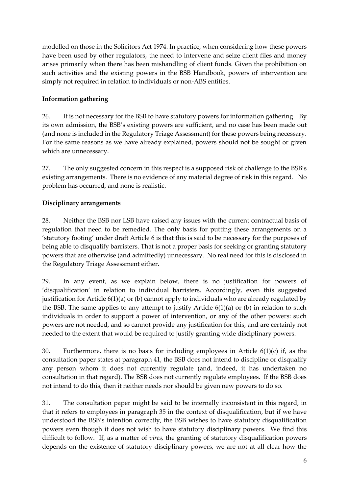modelled on those in the Solicitors Act 1974. In practice, when considering how these powers have been used by other regulators, the need to intervene and seize client files and money arises primarily when there has been mishandling of client funds. Given the prohibition on such activities and the existing powers in the BSB Handbook, powers of intervention are simply not required in relation to individuals or non-ABS entities.

#### **Information gathering**

26. It is not necessary for the BSB to have statutory powers for information gathering. By its own admission, the BSB's existing powers are sufficient, and no case has been made out (and none is included in the Regulatory Triage Assessment) for these powers being necessary. For the same reasons as we have already explained, powers should not be sought or given which are unnecessary.

27. The only suggested concern in this respect is a supposed risk of challenge to the BSB's existing arrangements. There is no evidence of any material degree of risk in this regard. No problem has occurred, and none is realistic.

### **Disciplinary arrangements**

28. Neither the BSB nor LSB have raised any issues with the current contractual basis of regulation that need to be remedied. The only basis for putting these arrangements on a 'statutory footing' under draft Article 6 is that this is said to be necessary for the purposes of being able to disqualify barristers. That is not a proper basis for seeking or granting statutory powers that are otherwise (and admittedly) unnecessary. No real need for this is disclosed in the Regulatory Triage Assessment either.

29. In any event, as we explain below, there is no justification for powers of 'disqualification' in relation to individual barristers. Accordingly, even this suggested justification for Article 6(1)(a) or (b) cannot apply to individuals who are already regulated by the BSB. The same applies to any attempt to justify Article  $6(1)(a)$  or (b) in relation to such individuals in order to support a power of intervention, or any of the other powers: such powers are not needed, and so cannot provide any justification for this, and are certainly not needed to the extent that would be required to justify granting wide disciplinary powers.

30. Furthermore, there is no basis for including employees in Article  $6(1)(c)$  if, as the consultation paper states at paragraph 41, the BSB does not intend to discipline or disqualify any person whom it does not currently regulate (and, indeed, it has undertaken no consultation in that regard). The BSB does not currently regulate employees. If the BSB does not intend to do this, then it neither needs nor should be given new powers to do so.

31. The consultation paper might be said to be internally inconsistent in this regard, in that it refers to employees in paragraph 35 in the context of disqualification, but if we have understood the BSB's intention correctly, the BSB wishes to have statutory disqualification powers even though it does not wish to have statutory disciplinary powers. We find this difficult to follow. If, as a matter of *vires,* the granting of statutory disqualification powers depends on the existence of statutory disciplinary powers, we are not at all clear how the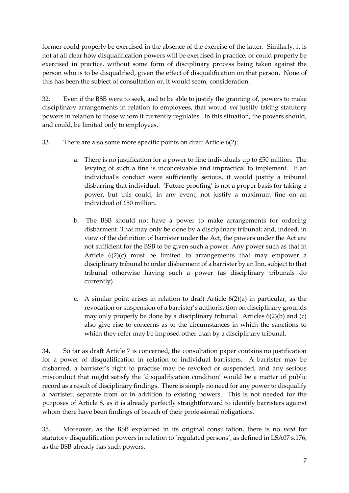former could properly be exercised in the absence of the exercise of the latter. Similarly, it is not at all clear how disqualification powers will be exercised in practice, or could properly be exercised in practice, without some form of disciplinary process being taken against the person who is to be disqualified, given the effect of disqualification on that person. None of this has been the subject of consultation or, it would seem, consideration.

32. Even if the BSB were to seek, and to be able to justify the granting of, powers to make disciplinary arrangements in relation to employees, that would *not* justify taking statutory powers in relation to those whom it currently regulates. In this situation, the powers should, and could, be limited only to employees.

- 33. There are also some more specific points on draft Article 6(2):
	- a. There is no justification for a power to fine individuals up to £50 million. The levying of such a fine is inconceivable and impractical to implement. If an individual's conduct were sufficiently serious, it would justify a tribunal disbarring that individual. 'Future proofing' is not a proper basis for taking a power, but this could, in any event, not justify a maximum fine on an individual of £50 million.
	- b. The BSB should not have a power to make arrangements for ordering disbarment. That may only be done by a disciplinary tribunal; and, indeed, in view of the definition of barrister under the Act, the powers under the Act are not sufficient for the BSB to be given such a power. Any power such as that in Article 6(2)(c) must be limited to arrangements that may empower a disciplinary tribunal to order disbarment of a barrister by an Inn, subject to that tribunal otherwise having such a power (as disciplinary tribunals do currently).
	- c. A similar point arises in relation to draft Article  $6(2)(a)$  in particular, as the revocation or suspension of a barrister's authorisation on disciplinary grounds may only properly be done by a disciplinary tribunal. Articles 6(2)(b) and (c) also give rise to concerns as to the circumstances in which the sanctions to which they refer may be imposed other than by a disciplinary tribunal.

34. So far as draft Article 7 is concerned, the consultation paper contains no justification for a power of disqualification in relation to individual barristers. A barrister may be disbarred, a barrister's right to practise may be revoked or suspended, and any serious misconduct that might satisfy the 'disqualification condition' would be a matter of public record as a result of disciplinary findings. There is simply no need for any power to disqualify a barrister, separate from or in addition to existing powers. This is not needed for the purposes of Article 8, as it is already perfectly straightforward to identify barristers against whom there have been findings of breach of their professional obligations.

35. Moreover, as the BSB explained in its original consultation, there is no *need* for statutory disqualification powers in relation to 'regulated persons', as defined in LSA07 s.176, as the BSB already has such powers.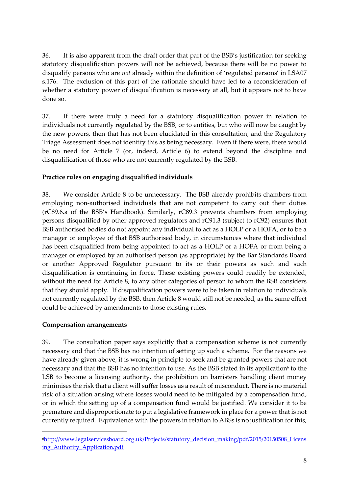36. It is also apparent from the draft order that part of the BSB's justification for seeking statutory disqualification powers will not be achieved, because there will be no power to disqualify persons who are *not* already within the definition of 'regulated persons' in LSA07 s.176. The exclusion of this part of the rationale should have led to a reconsideration of whether a statutory power of disqualification is necessary at all, but it appears not to have done so.

37. If there were truly a need for a statutory disqualification power in relation to individuals not currently regulated by the BSB, or to entities, but who will now be caught by the new powers, then that has not been elucidated in this consultation, and the Regulatory Triage Assessment does not identify this as being necessary. Even if there were, there would be no need for Article 7 (or, indeed, Article 6) to extend beyond the discipline and disqualification of those who are not currently regulated by the BSB.

#### **Practice rules on engaging disqualified individuals**

38. We consider Article 8 to be unnecessary. The BSB already prohibits chambers from employing non-authorised individuals that are not competent to carry out their duties (rC89.6.a of the BSB's Handbook). Similarly, rC89.3 prevents chambers from employing persons disqualified by other approved regulators and rC91.3 (subject to rC92) ensures that BSB authorised bodies do not appoint any individual to act as a HOLP or a HOFA, or to be a manager or employee of that BSB authorised body, in circumstances where that individual has been disqualified from being appointed to act as a HOLP or a HOFA or from being a manager or employed by an authorised person (as appropriate) by the Bar Standards Board or another Approved Regulator pursuant to its or their powers as such and such disqualification is continuing in force. These existing powers could readily be extended, without the need for Article 8, to any other categories of person to whom the BSB considers that they should apply. If disqualification powers were to be taken in relation to individuals not currently regulated by the BSB, then Article 8 would still not be needed, as the same effect could be achieved by amendments to those existing rules.

#### **Compensation arrangements**

1

39. The consultation paper says explicitly that a compensation scheme is not currently necessary and that the BSB has no intention of setting up such a scheme. For the reasons we have already given above, it is wrong in principle to seek and be granted powers that are not necessary and that the BSB has no intention to use. As the BSB stated in its application<sup>6</sup> to the LSB to become a licensing authority, the prohibition on barristers handling client money minimises the risk that a client will suffer losses as a result of misconduct. There is no material risk of a situation arising where losses would need to be mitigated by a compensation fund, or in which the setting up of a compensation fund would be justified. We consider it to be premature and disproportionate to put a legislative framework in place for a power that is not currently required. Equivalence with the powers in relation to ABSs is no justification for this,

<sup>6</sup>[http://www.legalservicesboard.org.uk/Projects/statutory\\_decision\\_making/pdf/2015/20150508\\_Licens](http://www.legalservicesboard.org.uk/Projects/statutory_decision_making/pdf/2015/20150508_Licensing_Authority_Application.pdf) [ing\\_Authority\\_Application.pdf](http://www.legalservicesboard.org.uk/Projects/statutory_decision_making/pdf/2015/20150508_Licensing_Authority_Application.pdf)